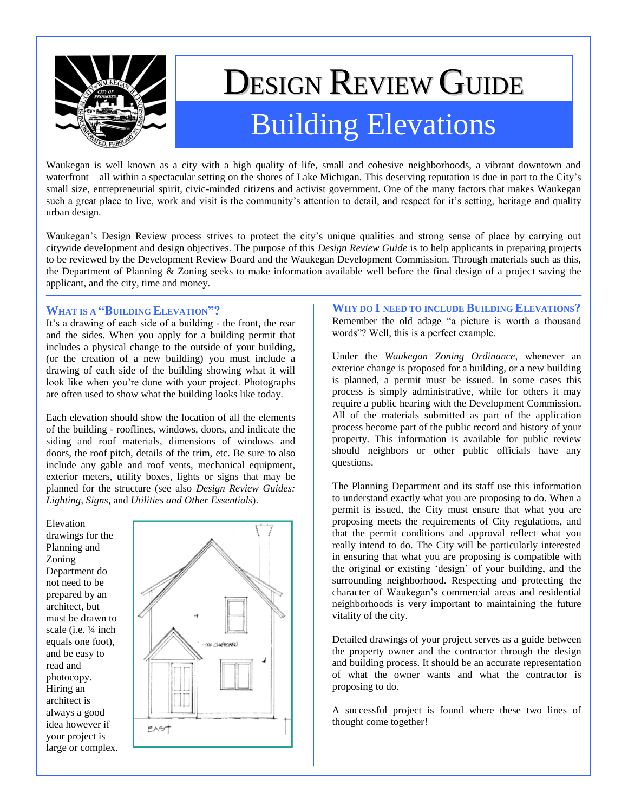

# DESIGN REVIEW GUIDE Building Elevations

Waukegan is well known as a city with a high quality of life, small and cohesive neighborhoods, a vibrant downtown and waterfront – all within a spectacular setting on the shores of Lake Michigan. This deserving reputation is due in part to the City's small size, entrepreneurial spirit, civic-minded citizens and activist government. One of the many factors that makes Waukegan such a great place to live, work and visit is the community's attention to detail, and respect for it's setting, heritage and quality urban design.

Waukegan"s Design Review process strives to protect the city"s unique qualities and strong sense of place by carrying out citywide development and design objectives. The purpose of this *Design Review Guide* is to help applicants in preparing projects to be reviewed by the Development Review Board and the Waukegan Development Commission. Through materials such as this, the Department of Planning & Zoning seeks to make information available well before the final design of a project saving the applicant, and the city, time and money.

## **WHAT IS A "BUILDING ELEVATION"?**

It's a drawing of each side of a building - the front, the rear and the sides. When you apply for a building permit that includes a physical change to the outside of your building, (or the creation of a new building) you must include a drawing of each side of the building showing what it will look like when you"re done with your project. Photographs are often used to show what the building looks like today.

Each elevation should show the location of all the elements of the building - rooflines, windows, doors, and indicate the siding and roof materials, dimensions of windows and doors, the roof pitch, details of the trim, etc. Be sure to also include any gable and roof vents, mechanical equipment, exterior meters, utility boxes, lights or signs that may be planned for the structure (see also *Design Review Guides: Lighting, Signs,* and *Utilities and Other Essentials*).

Elevation drawings for the Planning and Zoning Department do not need to be prepared by an architect, but must be drawn to scale (i.e. ¼ inch equals one foot), and be easy to read and photocopy. Hiring an architect is always a good idea however if your project is large or complex.



**WHY DO I NEED TO INCLUDE BUILDING ELEVATIONS?** Remember the old adage "a picture is worth a thousand words"? Well, this is a perfect example.

Under the *Waukegan Zoning Ordinance*, whenever an exterior change is proposed for a building, or a new building is planned, a permit must be issued. In some cases this process is simply administrative, while for others it may require a public hearing with the Development Commission. All of the materials submitted as part of the application process become part of the public record and history of your property. This information is available for public review should neighbors or other public officials have any questions.

The Planning Department and its staff use this information to understand exactly what you are proposing to do. When a permit is issued, the City must ensure that what you are proposing meets the requirements of City regulations, and that the permit conditions and approval reflect what you really intend to do. The City will be particularly interested in ensuring that what you are proposing is compatible with the original or existing "design" of your building, and the surrounding neighborhood. Respecting and protecting the character of Waukegan"s commercial areas and residential neighborhoods is very important to maintaining the future vitality of the city.

Detailed drawings of your project serves as a guide between the property owner and the contractor through the design and building process. It should be an accurate representation of what the owner wants and what the contractor is proposing to do.

A successful project is found where these two lines of thought come together!